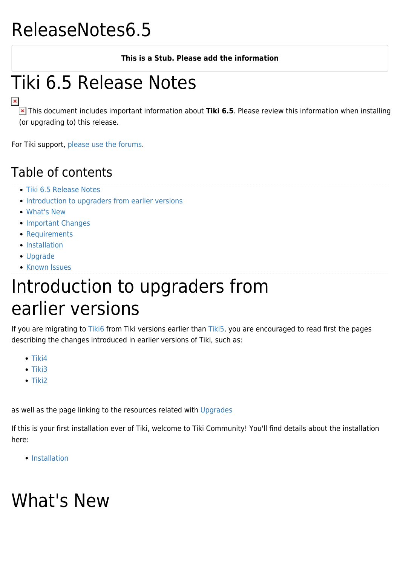# ReleaseNotes6.5

#### **This is a Stub. Please add the information**

# Tiki 6.5 Release Notes

 This document includes important information about **Tiki 6.5**. Please review this information when installing (or upgrading to) this release.

For Tiki support, [please use the forums](http://www.tiki.org/forums).

#### Table of contents

- [Tiki 6.5 Release Notes](#Tiki_6.5_Release_Notes)
- [Introduction to upgraders from earlier versions](#page--1-0)
- [What's New](#page--1-0)
- [Important Changes](#page--1-0)
- [Requirements](#page--1-0)
- [Installation](#page--1-0)
- [Upgrade](#page--1-0)
- [Known Issues](#page--1-0)

### Introduction to upgraders from earlier versions

If you are migrating to [Tiki6](http://doc.tiki.org/Tiki6) from Tiki versions earlier than [Tiki5,](http://doc.tiki.org/Tiki5) you are encouraged to read first the pages describing the changes introduced in earlier versions of Tiki, such as:

- $\bullet$  [Tiki4](http://doc.tiki.org/Tiki4)
- $\bullet$  [Tiki3](http://doc.tiki.org/Tiki3)
- $\bullet$  [Tiki2](http://doc.tiki.org/Tiki2)

as well as the page linking to the resources related with [Upgrades](http://doc.tiki.org/Upgrades)

If this is your first installation ever of Tiki, welcome to Tiki Community! You'll find details about the installation here:

• [Installation](http://doc.tiki.org/Installation)

# What's New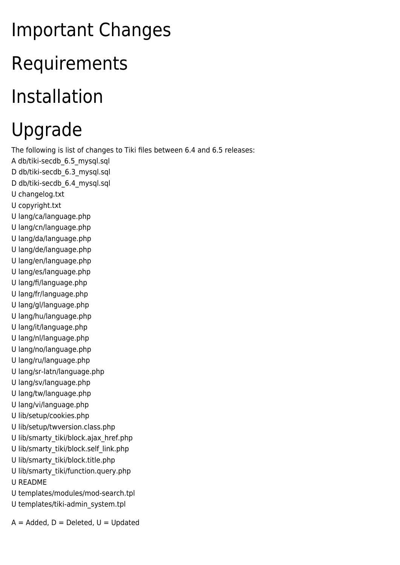# Important Changes Requirements Installation Upgrade

The following is list of changes to Tiki files between 6.4 and 6.5 releases:

- A db/tiki-secdb\_6.5\_mysql.sql
- D db/tiki-secdb 6.3 mysql.sql
- D db/tiki-secdb 6.4 mysql.sql
- U changelog.txt
- U copyright.txt
- U lang/ca/language.php
- U lang/cn/language.php U lang/da/language.php
- U lang/de/language.php
- U lang/en/language.php
- U lang/es/language.php
- U lang/fi/language.php
- U lang/fr/language.php
- U lang/gl/language.php
- U lang/hu/language.php
- U lang/it/language.php
- U lang/nl/language.php
- U lang/no/language.php
- U lang/ru/language.php
- U lang/sr-latn/language.php
- U lang/sv/language.php
- U lang/tw/language.php
- U lang/vi/language.php
- U lib/setup/cookies.php
- U lib/setup/twversion.class.php
- U lib/smarty\_tiki/block.ajax\_href.php
- U lib/smarty\_tiki/block.self\_link.php
- U lib/smarty\_tiki/block.title.php
- U lib/smarty\_tiki/function.query.php
- U README
- U templates/modules/mod-search.tpl
- U templates/tiki-admin\_system.tpl

 $A =$  Added,  $D =$  Deleted,  $U =$  Updated